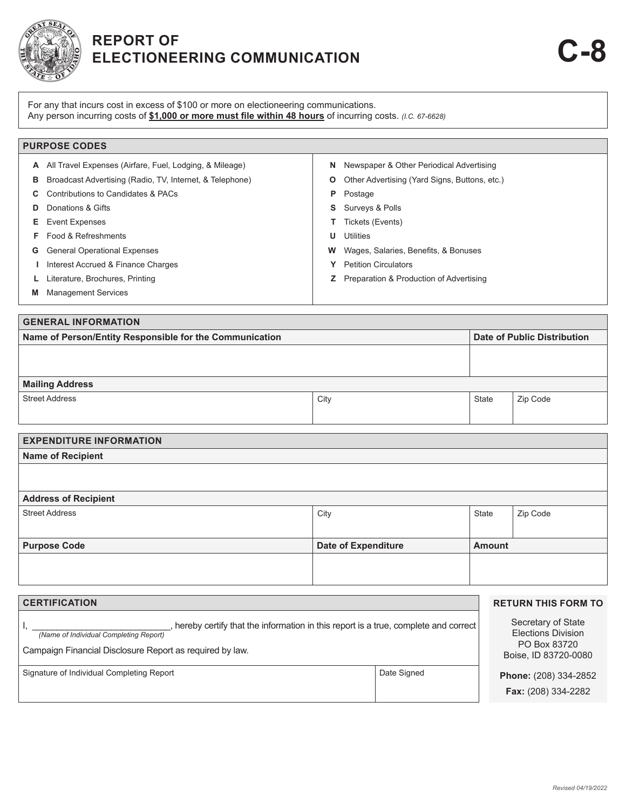

## **REPORT OF ELECTIONEERING COMMUNICATION C-8**

For any that incurs cost in excess of \$100 or more on electioneering communications. Any person incurring costs of **\$1,000 or more must file within 48 hours** of incurring costs. *(I.C. 67-6628)*

|    | <b>PURPOSE CODES</b>                                     |    |                                                  |
|----|----------------------------------------------------------|----|--------------------------------------------------|
| A  | All Travel Expenses (Airfare, Fuel, Lodging, & Mileage)  | N. | Newspaper & Other Periodical Advertising         |
| в  | Broadcast Advertising (Radio, TV, Internet, & Telephone) | O  | Other Advertising (Yard Signs, Buttons, etc.)    |
|    | Contributions to Candidates & PACs                       | P  | Postage                                          |
| D  | Donations & Gifts                                        |    | <b>S</b> Surveys & Polls                         |
| Е. | <b>Event Expenses</b>                                    |    | Tickets (Events)                                 |
|    | Food & Refreshments                                      | U  | Utilities                                        |
| G  | <b>General Operational Expenses</b>                      | w  | Wages, Salaries, Benefits, & Bonuses             |
|    | Interest Accrued & Finance Charges                       |    | <b>Petition Circulators</b>                      |
|    | Literature, Brochures, Printing                          |    | <b>Z</b> Preparation & Production of Advertising |
|    | <b>Management Services</b>                               |    |                                                  |

| <b>GENERAL INFORMATION</b>                              |                             |       |          |  |  |
|---------------------------------------------------------|-----------------------------|-------|----------|--|--|
| Name of Person/Entity Responsible for the Communication | Date of Public Distribution |       |          |  |  |
|                                                         |                             |       |          |  |  |
|                                                         |                             |       |          |  |  |
| <b>Mailing Address</b>                                  |                             |       |          |  |  |
| <b>Street Address</b>                                   | City                        | State | Zip Code |  |  |
|                                                         |                             |       |          |  |  |

| <b>EXPENDITURE INFORMATION</b> |                            |               |          |  |  |  |
|--------------------------------|----------------------------|---------------|----------|--|--|--|
| <b>Name of Recipient</b>       |                            |               |          |  |  |  |
|                                |                            |               |          |  |  |  |
|                                |                            |               |          |  |  |  |
| <b>Address of Recipient</b>    |                            |               |          |  |  |  |
| <b>Street Address</b>          | City                       | State         | Zip Code |  |  |  |
|                                |                            |               |          |  |  |  |
| <b>Purpose Code</b>            | <b>Date of Expenditure</b> | <b>Amount</b> |          |  |  |  |
|                                |                            |               |          |  |  |  |
|                                |                            |               |          |  |  |  |
|                                |                            |               |          |  |  |  |

| <b>CERTIFICATION</b>                                                                                                                                                                     |                                                                                         | <b>RETURN THIS FORM TO</b> |
|------------------------------------------------------------------------------------------------------------------------------------------------------------------------------------------|-----------------------------------------------------------------------------------------|----------------------------|
| hereby certify that the information in this report is a true, complete and correct<br>(Name of Individual Completing Report)<br>Campaign Financial Disclosure Report as required by law. | Secretary of State<br><b>Elections Division</b><br>PO Box 83720<br>Boise, ID 83720-0080 |                            |
| Signature of Individual Completing Report                                                                                                                                                | Phone: (208) 334-2852<br><b>Fax:</b> (208) 334-2282                                     |                            |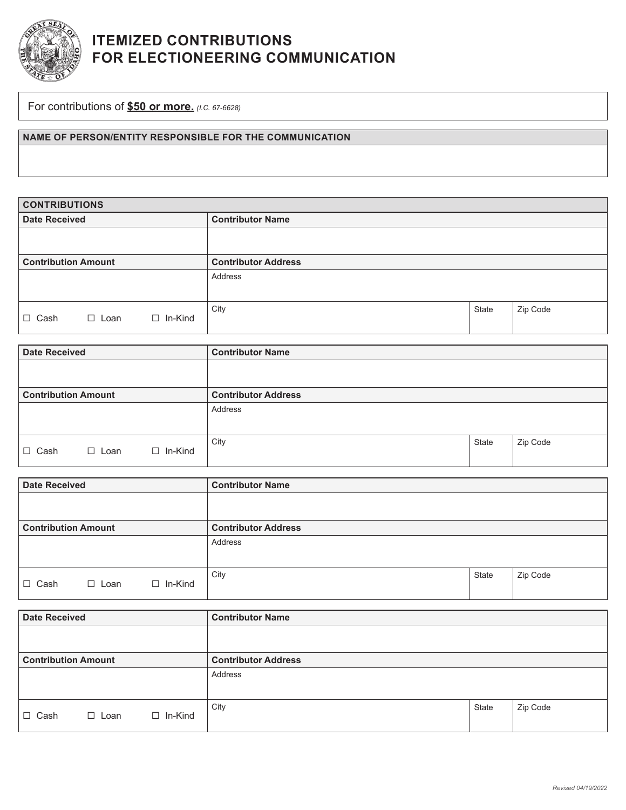

## **ITEMIZED CONTRIBUTIONS FOR ELECTIONEERING COMMUNICATION**

For contributions of **\$50 or more.** *(I.C. 67-6628)*

**NAME OF PERSON/ENTITY RESPONSIBLE FOR THE COMMUNICATION**

| <b>CONTRIBUTIONS</b>       |             |                |                            |       |          |  |
|----------------------------|-------------|----------------|----------------------------|-------|----------|--|
| <b>Date Received</b>       |             |                | <b>Contributor Name</b>    |       |          |  |
|                            |             |                |                            |       |          |  |
|                            |             |                |                            |       |          |  |
| <b>Contribution Amount</b> |             |                | <b>Contributor Address</b> |       |          |  |
|                            |             |                | Address                    |       |          |  |
|                            |             |                |                            |       |          |  |
| $\Box$ Cash                | $\Box$ Loan | $\Box$ In-Kind | City                       | State | Zip Code |  |

| <b>Date Received</b>       |                |                | <b>Contributor Name</b>    |       |          |  |
|----------------------------|----------------|----------------|----------------------------|-------|----------|--|
|                            |                |                |                            |       |          |  |
| <b>Contribution Amount</b> |                |                | <b>Contributor Address</b> |       |          |  |
|                            |                |                | Address                    |       |          |  |
|                            |                |                |                            |       |          |  |
| $\Box$ Cash                | $\square$ Loan | $\Box$ In-Kind | City                       | State | Zip Code |  |

| <b>Date Received</b>       |             |                | <b>Contributor Name</b>    |       |          |
|----------------------------|-------------|----------------|----------------------------|-------|----------|
|                            |             |                |                            |       |          |
| <b>Contribution Amount</b> |             |                | <b>Contributor Address</b> |       |          |
|                            |             |                | Address                    |       |          |
|                            |             |                |                            |       |          |
| $\Box$ Cash                | $\Box$ Loan | $\Box$ In-Kind | City                       | State | Zip Code |

| <b>Date Received</b>       |             |                | <b>Contributor Name</b>    |       |          |  |
|----------------------------|-------------|----------------|----------------------------|-------|----------|--|
|                            |             |                |                            |       |          |  |
| <b>Contribution Amount</b> |             |                | <b>Contributor Address</b> |       |          |  |
|                            |             |                | Address                    |       |          |  |
|                            |             |                |                            |       |          |  |
| $\Box$ Cash                | $\Box$ Loan | $\Box$ In-Kind | City                       | State | Zip Code |  |